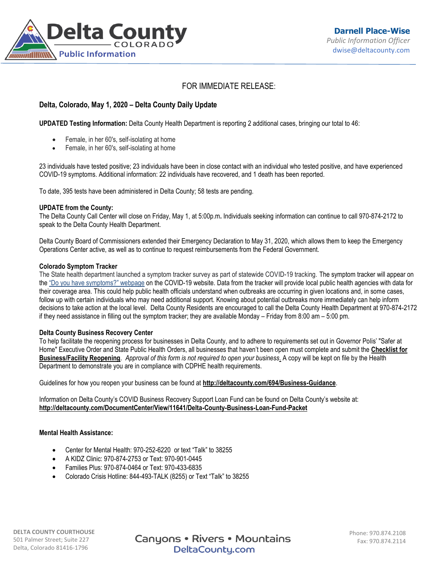

# FOR IMMEDIATE RELEASE:

## **Delta, Colorado, May 1, 2020 – Delta County Daily Update**

**UPDATED Testing Information:** Delta County Health Department is reporting 2 additional cases, bringing our total to 46:

- Female, in her 60's, self-isolating at home
- Female, in her 60's, self-isolating at home

23 individuals have tested positive; 23 individuals have been in close contact with an individual who tested positive, and have experienced COVID-19 symptoms. Additional information: 22 individuals have recovered, and 1 death has been reported.

To date, 395 tests have been administered in Delta County; 58 tests are pending.

#### **UPDATE from the County:**

The Delta County Call Center will close on Friday, May 1, at 5:00p.m**.** Individuals seeking information can continue to call 970-874-2172 to speak to the Delta County Health Department.

Delta County Board of Commissioners extended their Emergency Declaration to May 31, 2020, which allows them to keep the Emergency Operations Center active, as well as to continue to request reimbursements from the Federal Government.

#### **Colorado Symptom Tracker**

The State health department launched a symptom tracker survey as part of statewide COVID-19 tracking. The symptom tracker will appear on the ["Do you have symptoms?" webpage](https://urldefense.proofpoint.com/v2/url?u=https-3A__covid19.colorado.gov_covid19-2Dsymptoms&d=DwMFaQ&c=sdnEM9SRGFuMt5z5w3AhsPNahmNicq64TgF1JwNR0cs&r=PnKX2o6V5rT28C01uT2jQaey7O9MlRgTjftfZ9p6mrI&m=VeZtDCOPLO9OSJM7nuzpB2rG_iy7tj1Io9J2P1Kv0QU&s=p9aYyGvZSKEJjKYyFnNCBKKjXxOW1Wzspe5dvhBVwWA&e=) on the COVID-19 website. Data from the tracker will provide local public health agencies with data for their coverage area. This could help public health officials understand when outbreaks are occurring in given locations and, in some cases, follow up with certain individuals who may need additional support. Knowing about potential outbreaks more immediately can help inform decisions to take action at the local level. Delta County Residents are encouraged to call the Delta County Health Department at 970-874-2172 if they need assistance in filling out the symptom tracker; they are available Monday – Friday from 8:00 am – 5:00 pm.

## **Delta County Business Recovery Center**

To help facilitate the reopening process for businesses in Delta County, and to adhere to requirements set out in Governor Polis' "Safer at Home" Executive Order and State Public Health Orders, all businesses that haven't been open must complete and submit the **[Checklist for](https://visitdeltacounty.us4.list-manage.com/track/click?u=005cc3109dd92ab1f9c369fea&id=3c4b7be17d&e=b79ba09168)  [Business/Facility Reopening](https://visitdeltacounty.us4.list-manage.com/track/click?u=005cc3109dd92ab1f9c369fea&id=3c4b7be17d&e=b79ba09168)**. *Approval of this form is not required to open your business*. A copy will be kept on file by the Health Department to demonstrate you are in compliance with CDPHE health requirements.

Guidelines for how you reopen your business can be found at **[http://deltacounty.com/694/Business-Guidance](https://visitdeltacounty.us4.list-manage.com/track/click?u=005cc3109dd92ab1f9c369fea&id=83dccfaf5e&e=b79ba09168)**.

Information on Delta County's COVID Business Recovery Support Loan Fund can be found on Delta County's website at: **<http://deltacounty.com/DocumentCenter/View/11641/Delta-County-Business-Loan-Fund-Packet>**

## **Mental Health Assistance:**

- Center for Mental Health: 970-252-6220 or text "Talk" to 38255
- A KIDZ Clinic: 970-874-2753 or Text: 970-901-0445
- Families Plus: 970-874-0464 or Text: 970-433-6835
- Colorado Crisis Hotline: 844-493-TALK (8255) or Text "Talk" to 38255

**DELTA COUNTY COURTHOUSE** 501 Palmer Street; Suite 227 Delta, Colorado 81416-1796

**Canyons • Rivers • Mountains** DeltaCounty.com